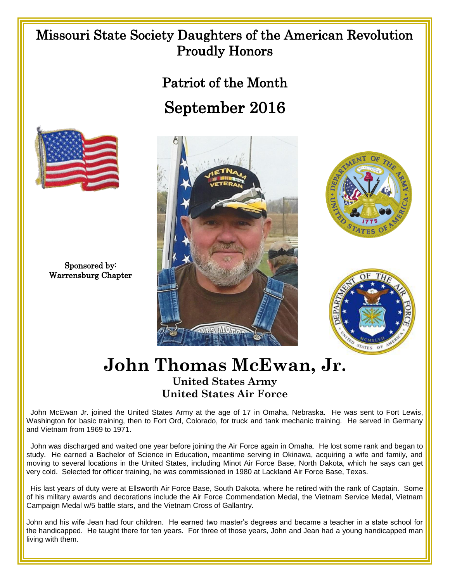## Missouri State Society Daughters of the American Revolution Proudly Honors

## Patriot of the Month September 2016



Sponsored by: Warrensburg Chapter







## **John Thomas McEwan, Jr.**

## **United States Army United States Air Force**

 John McEwan Jr. joined the United States Army at the age of 17 in Omaha, Nebraska. He was sent to Fort Lewis, Washington for basic training, then to Fort Ord, Colorado, for truck and tank mechanic training. He served in Germany and Vietnam from 1969 to 1971.

 John was discharged and waited one year before joining the Air Force again in Omaha. He lost some rank and began to study. He earned a Bachelor of Science in Education, meantime serving in Okinawa, acquiring a wife and family, and moving to several locations in the United States, including Minot Air Force Base, North Dakota, which he says can get very cold. Selected for officer training, he was commissioned in 1980 at Lackland Air Force Base, Texas.

 His last years of duty were at Ellsworth Air Force Base, South Dakota, where he retired with the rank of Captain. Some of his military awards and decorations include the Air Force Commendation Medal, the Vietnam Service Medal, Vietnam Campaign Medal w/5 battle stars, and the Vietnam Cross of Gallantry.

John and his wife Jean had four children. He earned two master's degrees and became a teacher in a state school for the handicapped. He taught there for ten years. For three of those years, John and Jean had a young handicapped man living with them.